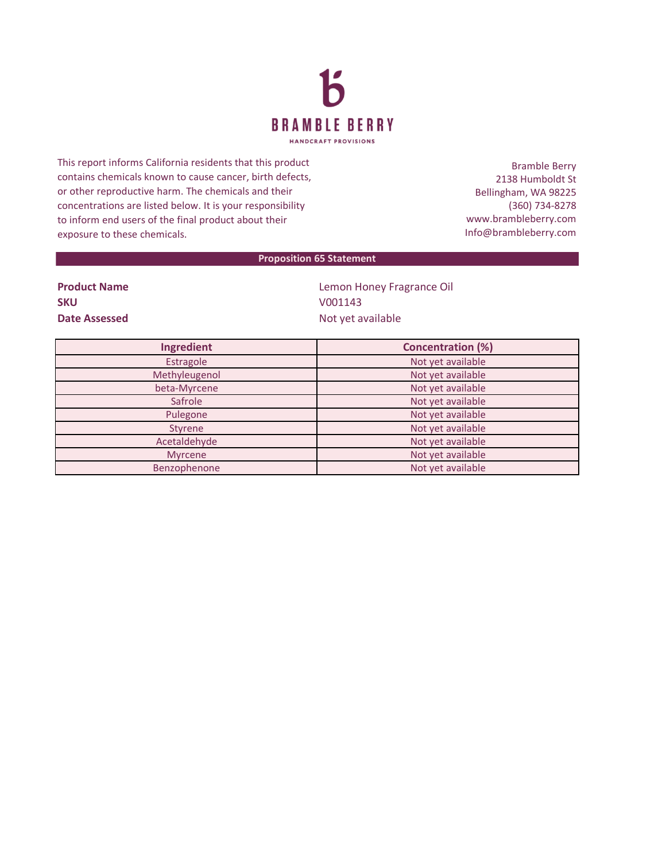

This report informs California residents that this product contains chemicals known to cause cancer, birth defects, or other reproductive harm. The chemicals and their concentrations are listed below. It is your responsibility to inform end users of the final product about their exposure to these chemicals.

Bramble Berry 2138 Humboldt St Bellingham, WA 98225 (360) 734-8278 www.brambleberry.com Info@brambleberry.com

## **Proposition 65 Statement**

| <b>Product Name</b> |
|---------------------|
| <b>SKU</b>          |
| Date Assessed       |

**Lemon Honey Fragrance Oil SKU** V001143 **Date Assessed** Not yet available

| Ingredient     | <b>Concentration (%)</b> |
|----------------|--------------------------|
| Estragole      | Not yet available        |
| Methyleugenol  | Not yet available        |
| beta-Myrcene   | Not yet available        |
| Safrole        | Not yet available        |
| Pulegone       | Not yet available        |
| <b>Styrene</b> | Not yet available        |
| Acetaldehyde   | Not yet available        |
| <b>Myrcene</b> | Not yet available        |
| Benzophenone   | Not yet available        |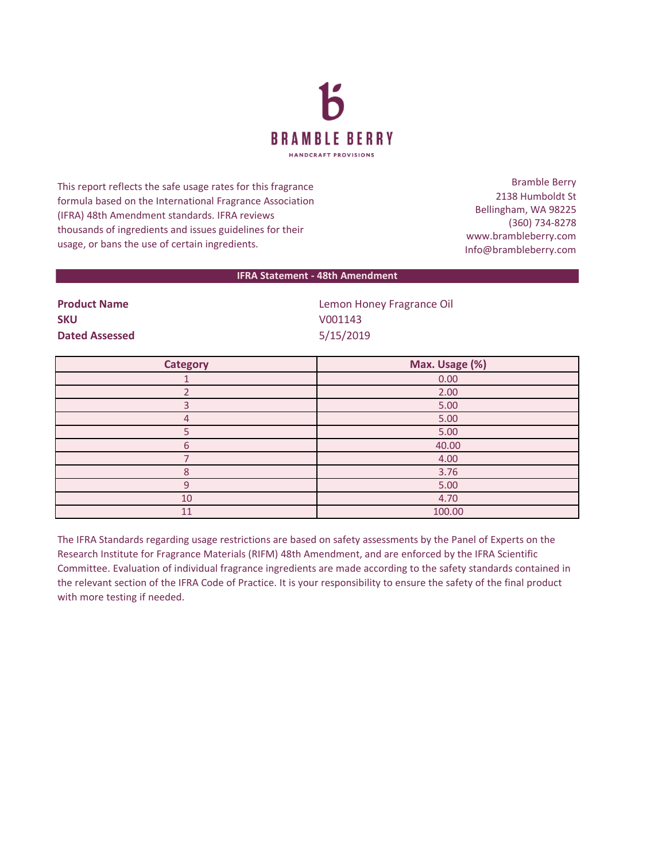

This report reflects the safe usage rates for this fragrance formula based on the International Fragrance Association (IFRA) 48th Amendment standards. IFRA reviews thousands of ingredients and issues guidelines for their usage, or bans the use of certain ingredients.

Bramble Berry 2138 Humboldt St Bellingham, WA 98225 (360) 734-8278 www.brambleberry.com Info@brambleberry.com

## **IFRA Statement - 48th Amendment**

**SKU** V001143 **Dated Assessed** 5/15/2019

**Product Name Contract Contract Contract Contract Contract Contract Contract Contract Contract Contract Contract Contract Contract Contract Contract Contract Contract Contract Contract Contract Contract Contract Contract** 

| <b>Category</b> | Max. Usage (%) |
|-----------------|----------------|
|                 | 0.00           |
|                 | 2.00           |
|                 | 5.00           |
| 4               | 5.00           |
|                 | 5.00           |
| 6               | 40.00          |
|                 | 4.00           |
| 8               | 3.76           |
| 9               | 5.00           |
| 10              | 4.70           |
| 11              | 100.00         |

The IFRA Standards regarding usage restrictions are based on safety assessments by the Panel of Experts on the Research Institute for Fragrance Materials (RIFM) 48th Amendment, and are enforced by the IFRA Scientific Committee. Evaluation of individual fragrance ingredients are made according to the safety standards contained in the relevant section of the IFRA Code of Practice. It is your responsibility to ensure the safety of the final product with more testing if needed.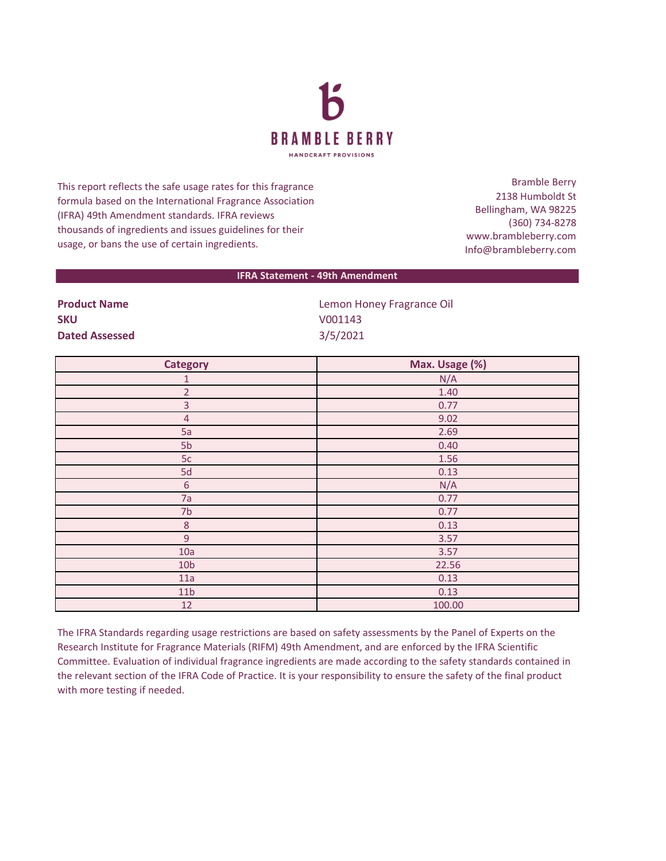

This report reflects the safe usage rates for this fragrance formula based on the International Fragrance Association (IFRA) 49th Amendment standards. IFRA reviews thousands of ingredients and issues guidelines for their usage, or bans the use of certain ingredients.

Bramble Berry 2138 Humboldt St Bellingham, WA 98225 (360) 734-8278 www.brambleberry.com Info@brambleberry.com

## **IFRA Statement - 49th Amendment**

| .                     |
|-----------------------|
| <b>SKU</b>            |
| <b>Dated Assessed</b> |

**Product Name Contract Contract Contract Contract Contract Contract Contract Contract Contract Contract Contract Contract Contract Contract Contract Contract Contract Contract Contract Contract Contract Contract Contract SKU** V001143 **Dated Assessed** 3/5/2021

| <b>Category</b> | Max. Usage (%) |
|-----------------|----------------|
| 1               | N/A            |
| $\overline{2}$  | 1.40           |
| $\overline{3}$  | 0.77           |
| $\overline{4}$  | 9.02           |
| 5a              | 2.69           |
| 5 <sub>b</sub>  | 0.40           |
| 5c              | 1.56           |
| 5d              | 0.13           |
| $\sqrt{6}$      | N/A            |
| 7a              | 0.77           |
| 7 <sub>b</sub>  | 0.77           |
| $\,8\,$         | 0.13           |
| $\overline{9}$  | 3.57           |
| 10a             | 3.57           |
| 10 <sub>b</sub> | 22.56          |
| 11a             | 0.13           |
| 11 <sub>b</sub> | 0.13           |
| 12              | 100.00         |

The IFRA Standards regarding usage restrictions are based on safety assessments by the Panel of Experts on the Research Institute for Fragrance Materials (RIFM) 49th Amendment, and are enforced by the IFRA Scientific Committee. Evaluation of individual fragrance ingredients are made according to the safety standards contained in the relevant section of the IFRA Code of Practice. It is your responsibility to ensure the safety of the final product with more testing if needed.